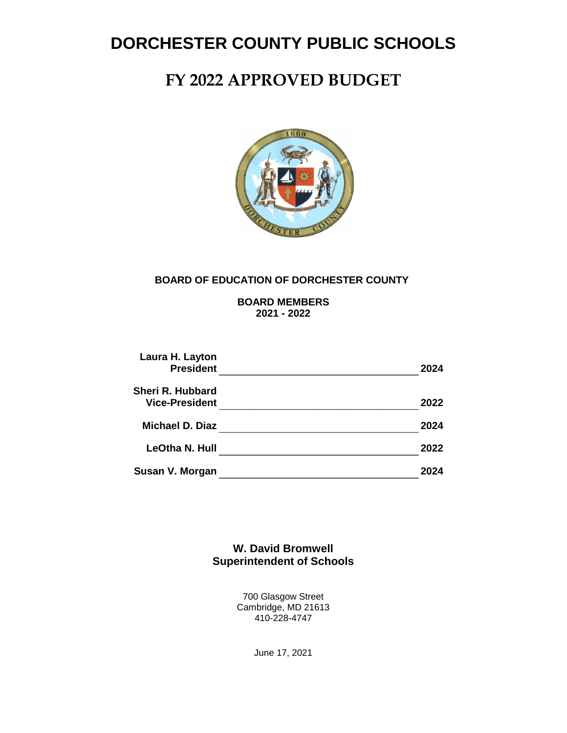# **FY 2022 APPROVED BUDGET**



#### **BOARD OF EDUCATION OF DORCHESTER COUNTY**

**BOARD MEMBERS 2021 - 2022**

| Laura H. Layton<br><b>President</b>              | 2024 |
|--------------------------------------------------|------|
| <b>Sheri R. Hubbard</b><br><b>Vice-President</b> | 2022 |
| Michael D. Diaz                                  | 2024 |
| LeOtha N. Hull                                   | 2022 |
| Susan V. Morgan                                  |      |

**W. David Bromwell Superintendent of Schools**

> 700 Glasgow Street Cambridge, MD 21613 410-228-4747

> > June 17, 2021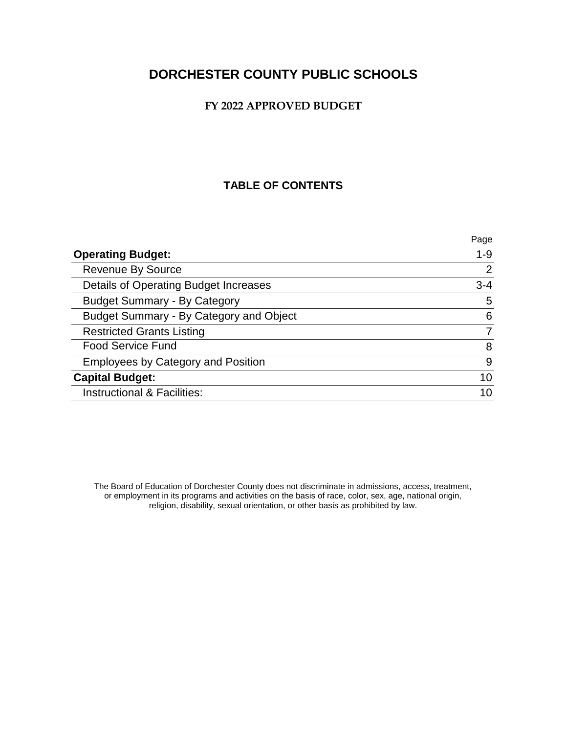#### **FY 2022 APPROVED BUDGET**

### **TABLE OF CONTENTS**

|                                           | Page    |
|-------------------------------------------|---------|
| <b>Operating Budget:</b>                  | $1 - 9$ |
| <b>Revenue By Source</b>                  | 2       |
| Details of Operating Budget Increases     | $3 - 4$ |
| <b>Budget Summary - By Category</b>       | 5       |
| Budget Summary - By Category and Object   | 6       |
| <b>Restricted Grants Listing</b>          |         |
| <b>Food Service Fund</b>                  | 8       |
| <b>Employees by Category and Position</b> | 9       |
| <b>Capital Budget:</b>                    | 10      |
| Instructional & Facilities:               |         |

The Board of Education of Dorchester County does not discriminate in admissions, access, treatment, or employment in its programs and activities on the basis of race, color, sex, age, national origin, religion, disability, sexual orientation, or other basis as prohibited by law.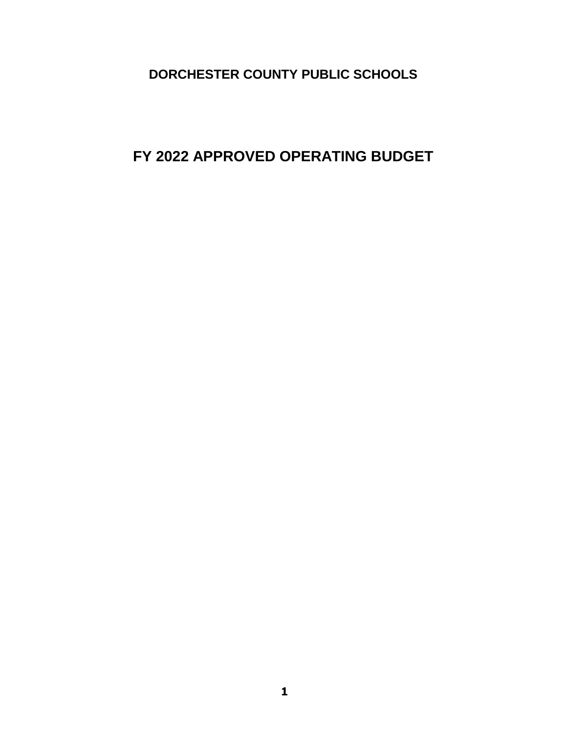**FY 2022 APPROVED OPERATING BUDGET**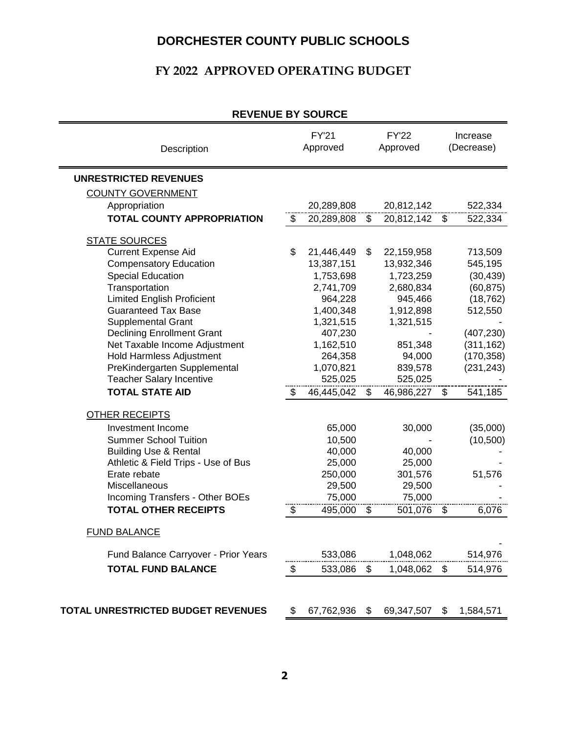### **FY 2022 APPROVED OPERATING BUDGET**

| REVENUE DI SUURUE                         |                           |                          |                          |                          |                 |                        |
|-------------------------------------------|---------------------------|--------------------------|--------------------------|--------------------------|-----------------|------------------------|
| Description                               |                           | <b>FY'21</b><br>Approved |                          | <b>FY'22</b><br>Approved |                 | Increase<br>(Decrease) |
| <b>UNRESTRICTED REVENUES</b>              |                           |                          |                          |                          |                 |                        |
| <b>COUNTY GOVERNMENT</b>                  |                           |                          |                          |                          |                 |                        |
| Appropriation                             |                           | 20,289,808               |                          | 20,812,142               |                 | 522,334                |
| <b>TOTAL COUNTY APPROPRIATION</b>         | $\overline{\mathcal{S}}$  | 20,289,808               | $\overline{\mathcal{S}}$ | 20,812,142               | $\overline{\$}$ | 522,334                |
| <b>STATE SOURCES</b>                      |                           |                          |                          |                          |                 |                        |
| <b>Current Expense Aid</b>                | \$                        | 21,446,449               | \$                       | 22,159,958               |                 | 713,509                |
| <b>Compensatory Education</b>             |                           | 13,387,151               |                          | 13,932,346               |                 | 545,195                |
| <b>Special Education</b>                  |                           | 1,753,698                |                          | 1,723,259                |                 | (30, 439)              |
| Transportation                            |                           | 2,741,709                |                          | 2,680,834                |                 | (60, 875)              |
| <b>Limited English Proficient</b>         |                           | 964,228                  |                          | 945,466                  |                 | (18, 762)              |
| <b>Guaranteed Tax Base</b>                |                           | 1,400,348                |                          | 1,912,898                |                 | 512,550                |
| <b>Supplemental Grant</b>                 |                           | 1,321,515                |                          | 1,321,515                |                 |                        |
| <b>Declining Enrollment Grant</b>         |                           | 407,230                  |                          |                          |                 | (407, 230)             |
| Net Taxable Income Adjustment             |                           | 1,162,510                |                          | 851,348                  |                 | (311, 162)             |
| Hold Harmless Adjustment                  |                           | 264,358                  |                          | 94,000                   |                 | (170, 358)             |
| PreKindergarten Supplemental              |                           | 1,070,821                |                          | 839,578                  |                 | (231, 243)             |
| <b>Teacher Salary Incentive</b>           |                           | 525,025                  |                          | 525,025                  |                 |                        |
| <b>TOTAL STATE AID</b>                    | $\boldsymbol{\mathsf{S}}$ | 46,445,042               | \$                       | 46,986,227               | \$              | 541,185                |
| <b>OTHER RECEIPTS</b>                     |                           |                          |                          |                          |                 |                        |
| Investment Income                         |                           | 65,000                   |                          | 30,000                   |                 | (35,000)               |
| <b>Summer School Tuition</b>              |                           | 10,500                   |                          |                          |                 | (10, 500)              |
| <b>Building Use &amp; Rental</b>          |                           | 40,000                   |                          | 40,000                   |                 |                        |
| Athletic & Field Trips - Use of Bus       |                           | 25,000                   |                          | 25,000                   |                 |                        |
| Erate rebate                              |                           | 250,000                  |                          | 301,576                  |                 | 51,576                 |
| Miscellaneous                             |                           | 29,500                   |                          | 29,500                   |                 |                        |
| Incoming Transfers - Other BOEs           |                           | 75,000                   |                          | 75,000                   |                 |                        |
| <b>TOTAL OTHER RECEIPTS</b>               | \$                        | 495,000                  | \$                       | 501,076                  | \$              | 6,076                  |
| <b>FUND BALANCE</b>                       |                           |                          |                          |                          |                 |                        |
| Fund Balance Carryover - Prior Years      |                           | 533,086                  |                          | 1,048,062                |                 | 514,976                |
| <b>TOTAL FUND BALANCE</b>                 | \$                        | 533,086                  | \$                       | 1,048,062 \$             |                 | 514,976                |
| <b>TOTAL UNRESTRICTED BUDGET REVENUES</b> | \$                        | 67,762,936               | \$                       | 69,347,507               | \$              | 1,584,571              |
|                                           |                           |                          |                          |                          |                 |                        |

#### **REVENUE BY SOURCE**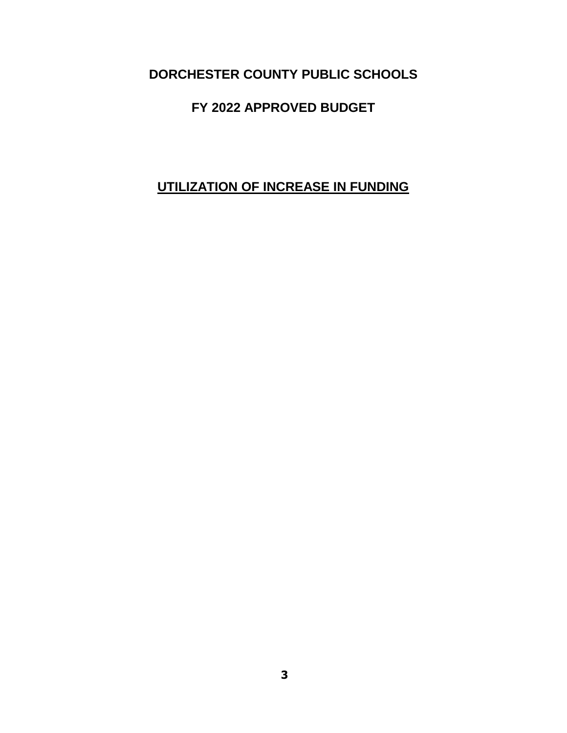## **FY 2022 APPROVED BUDGET**

# **UTILIZATION OF INCREASE IN FUNDING**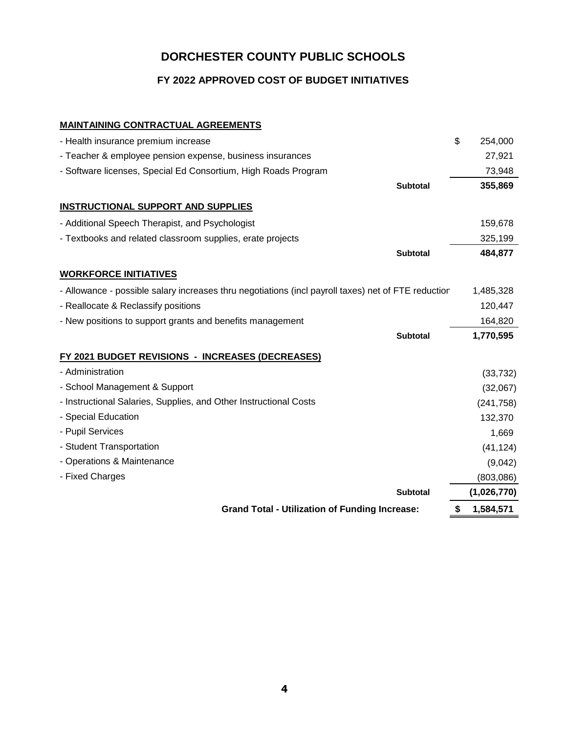#### **FY 2022 APPROVED COST OF BUDGET INITIATIVES**

#### **MAINTAINING CONTRACTUAL AGREEMENTS**

| - Health insurance premium increase                                                                 | \$<br>254,000 |
|-----------------------------------------------------------------------------------------------------|---------------|
| - Teacher & employee pension expense, business insurances                                           | 27,921        |
| - Software licenses, Special Ed Consortium, High Roads Program                                      | 73,948        |
| <b>Subtotal</b>                                                                                     | 355,869       |
| <b>INSTRUCTIONAL SUPPORT AND SUPPLIES</b>                                                           |               |
| - Additional Speech Therapist, and Psychologist                                                     | 159,678       |
| - Textbooks and related classroom supplies, erate projects                                          | 325,199       |
| <b>Subtotal</b>                                                                                     | 484,877       |
| <b>WORKFORCE INITIATIVES</b>                                                                        |               |
| - Allowance - possible salary increases thru negotiations (incl payroll taxes) net of FTE reductior | 1,485,328     |
| - Reallocate & Reclassify positions                                                                 | 120,447       |
| - New positions to support grants and benefits management                                           | 164,820       |
| <b>Subtotal</b>                                                                                     | 1,770,595     |
| FY 2021 BUDGET REVISIONS - INCREASES (DECREASES)                                                    |               |
| - Administration                                                                                    | (33, 732)     |
| - School Management & Support                                                                       | (32,067)      |
| - Instructional Salaries, Supplies, and Other Instructional Costs                                   | (241, 758)    |
| - Special Education                                                                                 | 132,370       |
| - Pupil Services                                                                                    | 1,669         |
| - Student Transportation                                                                            | (41, 124)     |
| - Operations & Maintenance                                                                          | (9,042)       |
| - Fixed Charges                                                                                     | (803,086)     |
| <b>Subtotal</b>                                                                                     | (1,026,770)   |
| <b>Grand Total - Utilization of Funding Increase:</b>                                               | 1,584,571     |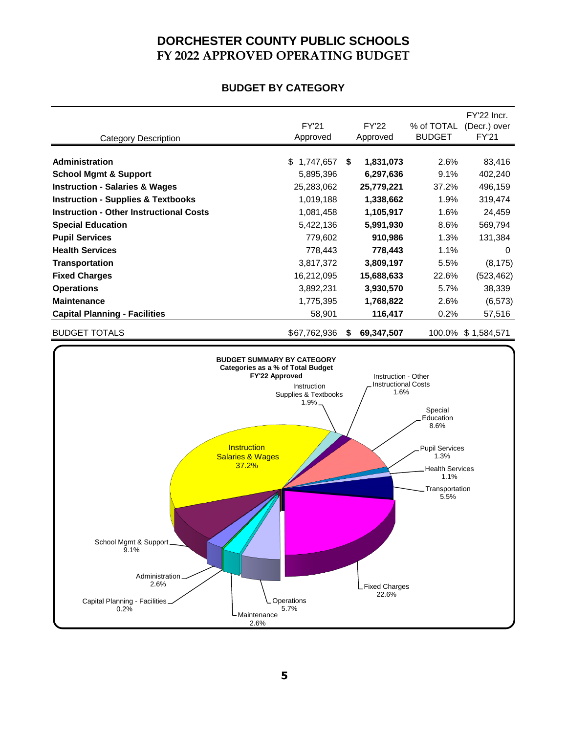## **DORCHESTER COUNTY PUBLIC SCHOOLS FY 2022 APPROVED OPERATING BUDGET**

#### **BUDGET BY CATEGORY**

|                                                           |                                                            |                                              |    |                                                       |                                                                                                                           | FY'22 Incr.        |
|-----------------------------------------------------------|------------------------------------------------------------|----------------------------------------------|----|-------------------------------------------------------|---------------------------------------------------------------------------------------------------------------------------|--------------------|
|                                                           |                                                            | <b>FY'21</b>                                 |    | <b>FY'22</b>                                          | % of TOTAL                                                                                                                | (Decr.) over       |
| <b>Category Description</b>                               |                                                            | Approved                                     |    | Approved                                              | <b>BUDGET</b>                                                                                                             | <b>FY'21</b>       |
| <b>Administration</b>                                     |                                                            | \$1,747,657                                  | \$ | 1,831,073                                             | 2.6%                                                                                                                      | 83,416             |
| <b>School Mgmt &amp; Support</b>                          |                                                            | 5,895,396                                    |    | 6,297,636                                             | 9.1%                                                                                                                      | 402,240            |
| <b>Instruction - Salaries &amp; Wages</b>                 |                                                            | 25,283,062                                   |    | 25,779,221                                            | 37.2%                                                                                                                     | 496,159            |
| <b>Instruction - Supplies &amp; Textbooks</b>             |                                                            | 1,019,188                                    |    | 1,338,662                                             | 1.9%                                                                                                                      | 319,474            |
| <b>Instruction - Other Instructional Costs</b>            |                                                            | 1,081,458                                    |    | 1,105,917                                             | 1.6%                                                                                                                      | 24,459             |
| <b>Special Education</b>                                  |                                                            | 5,422,136                                    |    | 5,991,930                                             | 8.6%                                                                                                                      | 569,794            |
| <b>Pupil Services</b>                                     |                                                            | 779,602                                      |    | 910,986                                               | 1.3%                                                                                                                      | 131,384            |
| <b>Health Services</b>                                    |                                                            | 778,443                                      |    | 778,443                                               | 1.1%                                                                                                                      | 0                  |
| <b>Transportation</b>                                     |                                                            | 3,817,372                                    |    | 3,809,197                                             | 5.5%                                                                                                                      | (8, 175)           |
| <b>Fixed Charges</b>                                      |                                                            | 16,212,095                                   |    | 15,688,633                                            | 22.6%                                                                                                                     | (523, 462)         |
| <b>Operations</b>                                         |                                                            | 3,892,231                                    |    | 3,930,570                                             | 5.7%                                                                                                                      | 38,339             |
| <b>Maintenance</b>                                        |                                                            | 1,775,395                                    |    | 1,768,822                                             | 2.6%                                                                                                                      | (6, 573)           |
| <b>Capital Planning - Facilities</b>                      |                                                            | 58,901                                       |    | 116,417                                               | 0.2%                                                                                                                      | 57,516             |
| <b>BUDGET TOTALS</b>                                      |                                                            | \$67,762,936                                 | S  | 69,347,507                                            |                                                                                                                           | 100.0% \$1,584,571 |
| School Mgmt & Support_<br>9.1%<br>Administration.<br>2.6% | <b>Instruction</b><br><b>Salaries &amp; Wages</b><br>37.2% | Instruction<br>Supplies & Textbooks<br>1.9%. |    | <b>Instructional Costs</b><br>1.6%<br>L Fixed Charges | Special<br>Education<br>8.6%<br><b>Pupil Services</b><br>1.3%<br><b>Health Services</b><br>1.1%<br>Transportation<br>5.5% |                    |
| Capital Planning - Facilities_<br>0.2%                    | Operations<br>5.7%<br>Maintenance<br>2.6%                  |                                              |    | 22.6%                                                 |                                                                                                                           |                    |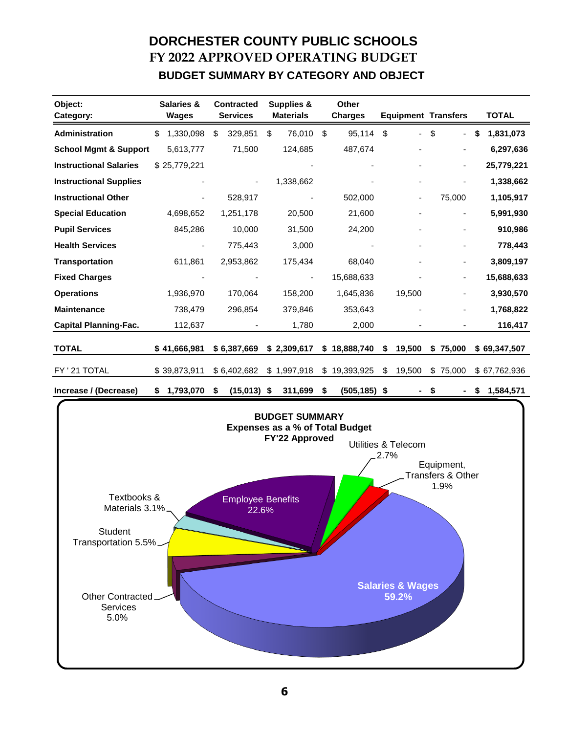# **DORCHESTER COUNTY PUBLIC SCHOOLS FY 2022 APPROVED OPERATING BUDGET BUDGET SUMMARY BY CATEGORY AND OBJECT**

| Object:<br>Category:             | <b>Salaries &amp;</b><br>Wages | <b>Contracted</b><br><b>Services</b> | <b>Supplies &amp;</b><br><b>Materials</b> | <b>Other</b><br><b>Charges</b> | <b>Equipment Transfers</b>     |                              |    | <b>TOTAL</b> |
|----------------------------------|--------------------------------|--------------------------------------|-------------------------------------------|--------------------------------|--------------------------------|------------------------------|----|--------------|
| Administration                   | \$<br>1,330,098                | \$<br>329,851                        | \$<br>76,010                              | \$<br>95,114                   | \$<br>$\overline{\phantom{0}}$ | \$<br>۰                      | \$ | 1,831,073    |
| <b>School Mgmt &amp; Support</b> | 5,613,777                      | 71,500                               | 124,685                                   | 487,674                        |                                |                              |    | 6,297,636    |
| <b>Instructional Salaries</b>    | \$25,779,221                   |                                      |                                           |                                | ۰                              | -                            |    | 25,779,221   |
| <b>Instructional Supplies</b>    |                                |                                      | 1,338,662                                 |                                | ۰                              | $\overline{a}$               |    | 1,338,662    |
| <b>Instructional Other</b>       |                                | 528,917                              |                                           | 502,000                        | -                              | 75,000                       |    | 1,105,917    |
| <b>Special Education</b>         | 4,698,652                      | 1,251,178                            | 20,500                                    | 21,600                         |                                | ۰                            |    | 5,991,930    |
| <b>Pupil Services</b>            | 845,286                        | 10,000                               | 31,500                                    | 24,200                         |                                |                              |    | 910,986      |
| <b>Health Services</b>           |                                | 775,443                              | 3,000                                     |                                |                                |                              |    | 778,443      |
| <b>Transportation</b>            | 611,861                        | 2,953,862                            | 175,434                                   | 68,040                         |                                | -                            |    | 3,809,197    |
| <b>Fixed Charges</b>             |                                |                                      | $\overline{\phantom{a}}$                  | 15,688,633                     |                                | $\qquad \qquad \blacksquare$ |    | 15,688,633   |
| <b>Operations</b>                | 1,936,970                      | 170,064                              | 158,200                                   | 1,645,836                      | 19,500                         |                              |    | 3,930,570    |
| <b>Maintenance</b>               | 738,479                        | 296,854                              | 379,846                                   | 353,643                        |                                |                              |    | 1,768,822    |
| <b>Capital Planning-Fac.</b>     | 112,637                        |                                      | 1,780                                     | 2,000                          |                                |                              |    | 116,417      |
| <b>TOTAL</b>                     | \$41,666,981                   | \$6,387,669                          | \$2,309,617                               | \$18,888,740                   | \$<br>19,500                   | \$75,000                     |    | \$69,347,507 |
| FY ' 21 TOTAL                    | \$39,873,911                   | \$6,402,682                          | \$1,997,918                               | \$<br>19,393,925               | \$<br>19,500                   | \$75,000                     |    | \$67,762,936 |
| Increase / (Decrease)            | \$<br>1,793,070                | \$<br>$(15,013)$ \$                  | 311,699                                   | \$<br>$(505, 185)$ \$          |                                | \$                           | S  | 1,584,571    |

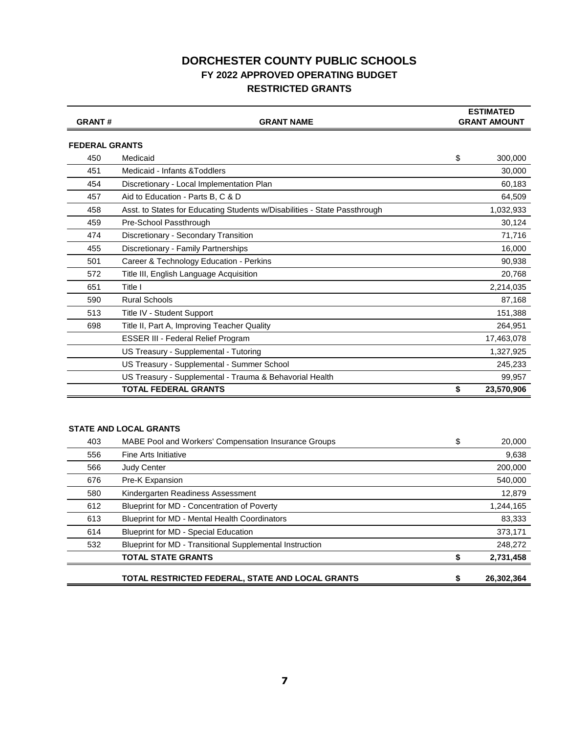### **DORCHESTER COUNTY PUBLIC SCHOOLS FY 2022 APPROVED OPERATING BUDGET RESTRICTED GRANTS**

| <b>GRANT#</b>         | <b>GRANT NAME</b>                                                         |    | <b>ESTIMATED</b><br><b>GRANT AMOUNT</b> |
|-----------------------|---------------------------------------------------------------------------|----|-----------------------------------------|
| <b>FEDERAL GRANTS</b> |                                                                           |    |                                         |
| 450                   | Medicaid                                                                  | \$ | 300,000                                 |
| 451                   | Medicaid - Infants & Toddlers                                             |    | 30,000                                  |
| 454                   | Discretionary - Local Implementation Plan                                 |    | 60,183                                  |
| 457                   | Aid to Education - Parts B, C & D                                         |    | 64,509                                  |
| 458                   | Asst. to States for Educating Students w/Disabilities - State Passthrough |    | 1,032,933                               |
| 459                   | Pre-School Passthrough                                                    |    | 30,124                                  |
| 474                   | Discretionary - Secondary Transition                                      |    | 71,716                                  |
| 455                   | Discretionary - Family Partnerships                                       |    | 16,000                                  |
| 501                   | Career & Technology Education - Perkins                                   |    | 90,938                                  |
| 572                   | Title III, English Language Acquisition                                   |    | 20,768                                  |
| 651                   | Title I                                                                   |    | 2,214,035                               |
| 590                   | <b>Rural Schools</b>                                                      |    | 87,168                                  |
| 513                   | Title IV - Student Support                                                |    | 151,388                                 |
| 698                   | Title II, Part A, Improving Teacher Quality                               |    | 264,951                                 |
|                       | <b>ESSER III - Federal Relief Program</b>                                 |    | 17,463,078                              |
|                       | US Treasury - Supplemental - Tutoring                                     |    | 1,327,925                               |
|                       | US Treasury - Supplemental - Summer School                                |    | 245,233                                 |
|                       | US Treasury - Supplemental - Trauma & Behavorial Health                   |    | 99,957                                  |
|                       | <b>TOTAL FEDERAL GRANTS</b>                                               | S  | 23,570,906                              |

#### **STATE AND LOCAL GRANTS**

| 403 | <b>MABE Pool and Workers' Compensation Insurance Groups</b> | \$ | 20,000     |
|-----|-------------------------------------------------------------|----|------------|
| 556 | Fine Arts Initiative                                        |    | 9,638      |
| 566 | <b>Judy Center</b>                                          |    | 200,000    |
| 676 | Pre-K Expansion                                             |    | 540,000    |
| 580 | Kindergarten Readiness Assessment                           |    | 12,879     |
| 612 | Blueprint for MD - Concentration of Poverty                 |    | 1,244,165  |
| 613 | Blueprint for MD - Mental Health Coordinators               |    | 83,333     |
| 614 | <b>Blueprint for MD - Special Education</b>                 |    | 373,171    |
| 532 | Blueprint for MD - Transitional Supplemental Instruction    |    | 248,272    |
|     | <b>TOTAL STATE GRANTS</b>                                   |    | 2,731,458  |
|     | TOTAL RESTRICTED FEDERAL, STATE AND LOCAL GRANTS            | S  | 26,302,364 |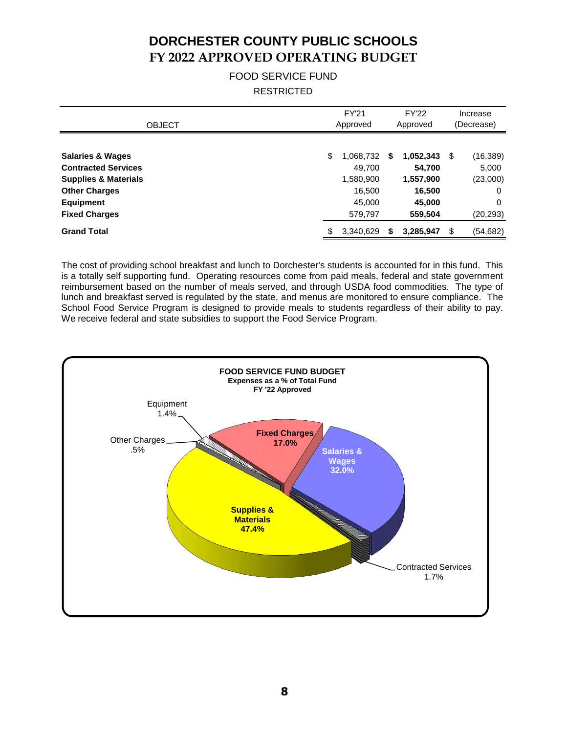# **DORCHESTER COUNTY PUBLIC SCHOOLS FY 2022 APPROVED OPERATING BUDGET**

#### FOOD SERVICE FUND **RESTRICTED**

| <b>OBJECT</b>                   | <b>FY'21</b><br>Approved |           |    | <b>FY'22</b><br>Approved | Increase<br>(Decrease) |           |
|---------------------------------|--------------------------|-----------|----|--------------------------|------------------------|-----------|
| <b>Salaries &amp; Wages</b>     | \$                       | 1,068,732 | S  | 1,052,343                | S                      | (16, 389) |
| <b>Contracted Services</b>      |                          | 49.700    |    | 54,700                   |                        | 5,000     |
| <b>Supplies &amp; Materials</b> |                          | 1,580,900 |    | 1,557,900                |                        | (23,000)  |
| <b>Other Charges</b>            |                          | 16.500    |    | 16,500                   |                        | 0         |
| <b>Equipment</b>                |                          | 45,000    |    | 45,000                   |                        | 0         |
| <b>Fixed Charges</b>            |                          | 579,797   |    | 559,504                  |                        | (20, 293) |
| <b>Grand Total</b>              | \$                       | 3,340,629 | \$ | 3,285,947                | £.                     | (54, 682) |

The cost of providing school breakfast and lunch to Dorchester's students is accounted for in this fund. This is a totally self supporting fund. Operating resources come from paid meals, federal and state government reimbursement based on the number of meals served, and through USDA food commodities. The type of lunch and breakfast served is regulated by the state, and menus are monitored to ensure compliance. The School Food Service Program is designed to provide meals to students regardless of their ability to pay. We receive federal and state subsidies to support the Food Service Program.

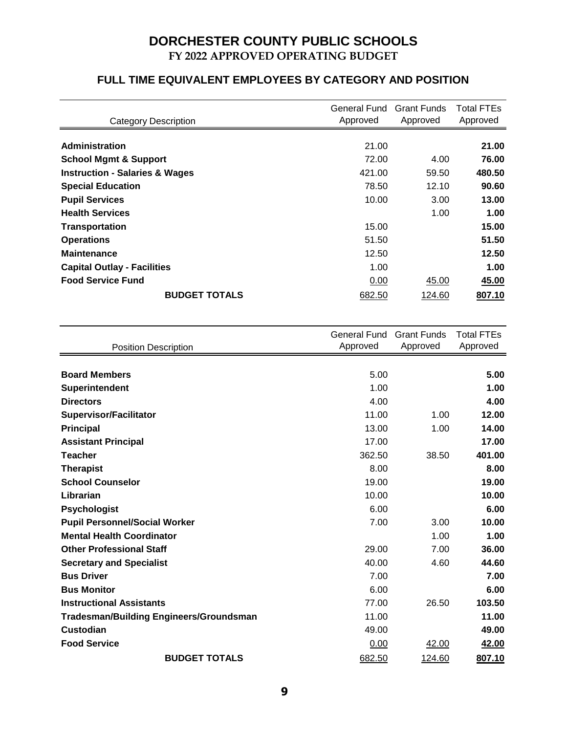# **DORCHESTER COUNTY PUBLIC SCHOOLS FY 2022 APPROVED OPERATING BUDGET**

### **FULL TIME EQUIVALENT EMPLOYEES BY CATEGORY AND POSITION**

| <b>Category Description</b>               | General Fund Grant Funds<br>Approved | Approved | Total FTEs<br>Approved |
|-------------------------------------------|--------------------------------------|----------|------------------------|
| <b>Administration</b>                     | 21.00                                |          | 21.00                  |
|                                           |                                      |          |                        |
| <b>School Mgmt &amp; Support</b>          | 72.00                                | 4.00     | 76.00                  |
| <b>Instruction - Salaries &amp; Wages</b> | 421.00                               | 59.50    | 480.50                 |
| <b>Special Education</b>                  | 78.50                                | 12.10    | 90.60                  |
| <b>Pupil Services</b>                     | 10.00                                | 3.00     | 13.00                  |
| <b>Health Services</b>                    |                                      | 1.00     | 1.00                   |
| <b>Transportation</b>                     | 15.00                                |          | 15.00                  |
| <b>Operations</b>                         | 51.50                                |          | 51.50                  |
| <b>Maintenance</b>                        | 12.50                                |          | 12.50                  |
| <b>Capital Outlay - Facilities</b>        | 1.00                                 |          | 1.00                   |
| <b>Food Service Fund</b>                  | 0.00                                 | 45.00    | 45.00                  |
| <b>BUDGET TOTALS</b>                      | 682.50                               | 124.60   | 807.10                 |

| <b>Position Description</b>                    | General Fund<br>Approved | <b>Grant Funds</b><br>Approved | <b>Total FTEs</b><br>Approved |
|------------------------------------------------|--------------------------|--------------------------------|-------------------------------|
|                                                |                          |                                |                               |
| <b>Board Members</b>                           | 5.00                     |                                | 5.00                          |
| Superintendent                                 | 1.00                     |                                | 1.00                          |
| <b>Directors</b>                               | 4.00                     |                                | 4.00                          |
| <b>Supervisor/Facilitator</b>                  | 11.00                    | 1.00                           | 12.00                         |
| <b>Principal</b>                               | 13.00                    | 1.00                           | 14.00                         |
| <b>Assistant Principal</b>                     | 17.00                    |                                | 17.00                         |
| <b>Teacher</b>                                 | 362.50                   | 38.50                          | 401.00                        |
| <b>Therapist</b>                               | 8.00                     |                                | 8.00                          |
| <b>School Counselor</b>                        | 19.00                    |                                | 19.00                         |
| Librarian                                      | 10.00                    |                                | 10.00                         |
| <b>Psychologist</b>                            | 6.00                     |                                | 6.00                          |
| <b>Pupil Personnel/Social Worker</b>           | 7.00                     | 3.00                           | 10.00                         |
| <b>Mental Health Coordinator</b>               |                          | 1.00                           | 1.00                          |
| <b>Other Professional Staff</b>                | 29.00                    | 7.00                           | 36.00                         |
| <b>Secretary and Specialist</b>                | 40.00                    | 4.60                           | 44.60                         |
| <b>Bus Driver</b>                              | 7.00                     |                                | 7.00                          |
| <b>Bus Monitor</b>                             | 6.00                     |                                | 6.00                          |
| <b>Instructional Assistants</b>                | 77.00                    | 26.50                          | 103.50                        |
| <b>Tradesman/Building Engineers/Groundsman</b> | 11.00                    |                                | 11.00                         |
| <b>Custodian</b>                               | 49.00                    |                                | 49.00                         |
| <b>Food Service</b>                            | 0.00                     | 42.00                          | 42.00                         |
| <b>BUDGET TOTALS</b>                           | 682.50                   | 124.60                         | 807.10                        |